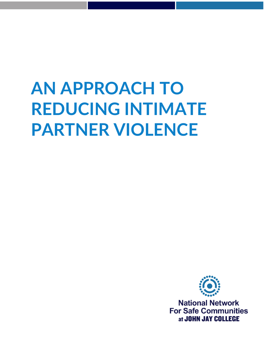# **AN APPROACH TO REDUCING INTIMATE PARTNER VIOLENCE**



**National Network For Safe Communities** at JOHN JAY COLLEGE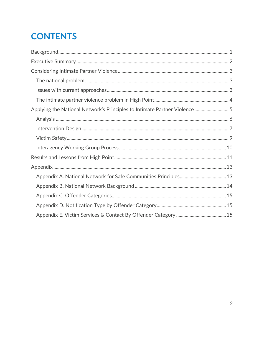# **CONTENTS**

| Applying the National Network's Principles to Intimate Partner Violence 5 |  |
|---------------------------------------------------------------------------|--|
|                                                                           |  |
|                                                                           |  |
|                                                                           |  |
|                                                                           |  |
|                                                                           |  |
|                                                                           |  |
|                                                                           |  |
|                                                                           |  |
|                                                                           |  |
|                                                                           |  |
|                                                                           |  |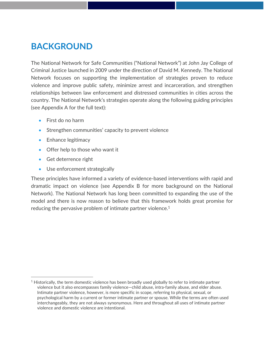## **BACKGROUND**

The National Network for Safe Communities ("National Network") at John Jay College of Criminal Justice launched in 2009 under the direction of David M. Kennedy. The National Network focuses on supporting the implementation of strategies proven to reduce violence and improve public safety, minimize arrest and incarceration, and strengthen relationships between law enforcement and distressed communities in cities across the country. The National Network's strategies operate along the following guiding principles (see Appendix A for the full text):

- First do no harm
- Strengthen communities' capacity to prevent violence
- Enhance legitimacy
- Offer help to those who want it
- **Get deterrence right**

• Use enforcement strategically

These principles have informed a variety of evidence‐based interventions with rapid and dramatic impact on violence (see Appendix B for more background on the National Network). The National Network has long been committed to expanding the use of the model and there is now reason to believe that this framework holds great promise for reducing the pervasive problem of intimate partner violence.<sup>1</sup>

 $1$  Historically, the term domestic violence has been broadly used globally to refer to intimate partner violence but it also encompasses family violence—child abuse, intra‐family abuse, and elder abuse. Intimate partner violence, however, is more specific in scope, referring to physical, sexual, or psychological harm by a current or former intimate partner or spouse. While the terms are often used interchangeably, they are not always synonymous. Here and throughout all uses of intimate partner violence and domestic violence are intentional.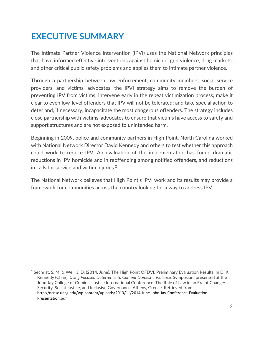# **EXECUTIVE SUMMARY**

The Intimate Partner Violence Intervention (IPVI) uses the National Network principles that have informed effective interventions against homicide, gun violence, drug markets, and other critical public safety problems and applies them to intimate partner violence.

Through a partnership between law enforcement, community members, social service providers, and victims' advocates, the IPVI strategy aims to remove the burden of preventing IPV from victims; intervene early in the repeat victimization process; make it clear to even low‐level offenders that IPV will not be tolerated; and take special action to deter and, if necessary, incapacitate the most dangerous offenders. The strategy includes close partnership with victims' advocates to ensure that victims have access to safety and support structures and are not exposed to unintended harm.

Beginning in 2009, police and community partners in High Point, North Carolina worked with National Network Director David Kennedy and others to test whether this approach could work to reduce IPV. An evaluation of the implementation has found dramatic reductions in IPV homicide and in reoffending among notified offenders, and reductions in calls for service and victim injuries.2

The National Network believes that High Point's IPVI work and its results may provide a framework for communities across the country looking for a way to address IPV.

<sup>&</sup>lt;sup>2</sup> Sechrist, S. M. & Weil, J. D. (2014, June). The High Point OFDVI: Preliminary Evaluation Results. In D. K. Kennedy (Chair), *Using Focused Deterrence to Combat Domestic Violence.* Symposium presented at the John Jay College of Criminal Justice International Conference. The Rule of Law in an Era of Change: Security, Social Justice, and Inclusive Governance, Athens, Greece. Retrieved from http://ncnsc.uncg.edu/wp‐content/uploads/2013/11/2014‐June‐John‐Jay‐Conference‐Evaluation‐ Presentation.pdf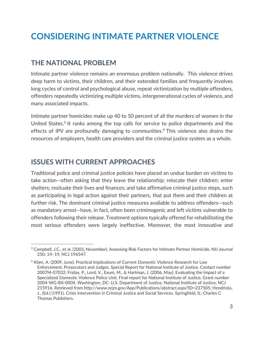## **CONSIDERING INTIMATE PARTNER VIOLENCE**

#### **THE NATIONAL PROBLEM**

Intimate partner violence remains an enormous problem nationally. This violence drives deep harm to victims, their children, and their extended families and frequently involves long cycles of control and psychological abuse, repeat victimization by multiple offenders, offenders repeatedly victimizing multiple victims, intergenerational cycles of violence, and many associated impacts.

Intimate partner homicides make up 40 to 50 percent of all the murders of women in the United States.<sup>3</sup> It ranks among the top calls for service to police departments and the effects of IPV are profoundly damaging to communities.<sup>4</sup> This violence also drains the resources of employers, health care providers and the criminal justice system as a whole.

#### **ISSUES WITH CURRENT APPROACHES**

Traditional police and criminal justice policies have placed an undue burden on victims to take action—often asking that they leave the relationship; relocate their children; enter shelters; resituate their lives and finances; and take affirmative criminal justice steps, such as participating in legal action against their partners, that put them and their children at further risk. The dominant criminal justice measures available to address offenders—such as mandatory arrest—have, in fact, often been criminogenic and left victims vulnerable to offenders following their release. Treatment options typically offered for rehabilitating the most serious offenders were largely ineffective. Moreover, the most innovative and

<sup>3</sup> Campbell, J.C., et al. (2003, November). Assessing Risk Factors for Intimate Partner Homicide. NIJ Journal 250: 14–19, NCJ 196547.

<sup>4</sup> Klien, A. (2009, June). Practical Implications of Current Domestic Violence Research for Law Enforcement, Prosecutors and Judges. Special Report for National Institute of Justice. Contact number 2007M‐07032; Friday, P., Lord, V., Exum, M., & Hartman, J. (2006, May). Evaluating the Impact of a Specialized Domestic Violence Police Unit. Final report for National Institute of Justice. Grant number 2004‐WG‐BX‐0004. Washington, DC: U.S. Department of Justice, National Institute of Justice, NCJ 215916. Retrieved from http://www.ncjrs.gov/App/Publications/abstract.aspx?ID=237505; Hendricks, J., (Ed.) (1991). Crisis Intervention in Criminal Justice and Social Services. Springfield, IL: Charles C Thomas Publishers.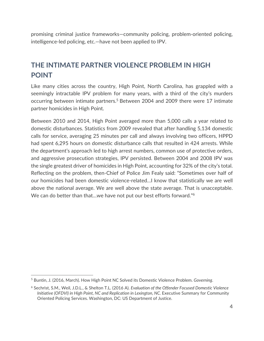promising criminal justice frameworks—community policing, problem‐oriented policing, intelligence‐led policing, etc.—have not been applied to IPV.

#### **THE INTIMATE PARTNER VIOLENCE PROBLEM IN HIGH POINT**

Like many cities across the country, High Point, North Carolina, has grappled with a seemingly intractable IPV problem for many years, with a third of the city's murders occurring between intimate partners.<sup>5</sup> Between 2004 and 2009 there were 17 intimate partner homicides in High Point.

Between 2010 and 2014, High Point averaged more than 5,000 calls a year related to domestic disturbances. Statistics from 2009 revealed that after handling 5,134 domestic calls for service, averaging 25 minutes per call and always involving two officers, HPPD had spent 6,295 hours on domestic disturbance calls that resulted in 424 arrests. While the department's approach led to high arrest numbers, common use of protective orders, and aggressive prosecution strategies, IPV persisted. Between 2004 and 2008 IPV was the single greatest driver of homicides in High Point, accounting for 32% of the city's total. Reflecting on the problem, then‐Chief of Police Jim Fealy said: "Sometimes over half of our homicides had been domestic violence‐related…I know that statistically we are well above the national average. We are well above the state average. That is unacceptable. We can do better than that...we have not put our best efforts forward."<sup>6</sup>

<sup>5</sup> Buntin, J. (2016, March). How High Point NC Solved its Domestic Violence Problem. *Governing*.

<sup>6</sup> Sechrist, S.M., Weil, J.D.L., & Shelton T.L. (2016 A). *Evaluation of the Offender Focused Domestic Violence Initiative (OFDVI) in High Point, NC and Replication in Lexington, NC.* Executive Summary for Community Oriented Policing Services. Washington, DC: US Department of Justice.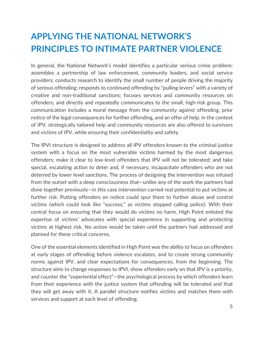# **APPLYING THE NATIONAL NETWORK'S PRINCIPLES TO INTIMATE PARTNER VIOLENCE**

In general, the National Network's model identifies a particular serious crime problem; assembles a partnership of law enforcement, community leaders, and social service providers; conducts research to identify the small number of people driving the majority of serious offending; responds to continued offending by "pulling levers" with a variety of creative and non‐traditional sanctions; focuses services and community resources on offenders; and directly and repeatedly communicates to the small, high‐risk group. This communication includes a moral message from the community against offending, prior notice of the legal consequences for further offending, and an offer of help. In the context of IPV, strategically tailored help and community resources are also offered to survivors and victims of IPV, while ensuring their confidentiality and safety.

The IPVI structure is designed to address all IPV offenders known to the criminal justice system with a focus on the most vulnerable victims harmed by the most dangerous offenders; make it clear to low‐level offenders that IPV will not be tolerated; and take special, escalating action to deter and, if necessary, incapacitate offenders who are not deterred by lower level sanctions. The process of designing the intervention was infused from the outset with a deep consciousness that—unlike any of the work the partners had done together previously—in this case intervention carried real potential to put victims at further risk. Putting offenders on notice could spur them to further abuse and control victims (which could look like "success," as victims stopped calling police). With their central focus on ensuring that they would do victims no harm, High Point enlisted the expertise of victims' advocates with special experience in supporting and protecting victims at highest risk. No action would be taken until the partners had addressed and planned for these critical concerns.

One of the essential elements identified in High Point was the ability to focus on offenders at early stages of offending before violence escalates, and to create strong community norms against IPV, and clear expectations for consequences, from the beginning. The structure aims to change responses to IPVI, show offenders early on that IPV is a priority, and counter the "experiential effect"—the psychological process by which offenders learn from their experience with the justice system that offending will be tolerated and that they will get away with it. A parallel structure notifies victims and matches them with services and support at each level of offending.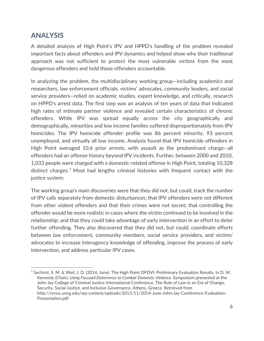#### **ANALYSIS**

A detailed analysis of High Point's IPV and HPPD's handling of the problem revealed important facts about offenders and IPV dynamics and helped show why their traditional approach was not sufficient to protect the most vulnerable victims from the most dangerous offenders and hold those offenders accountable.

In analyzing the problem, the multidisciplinary working group—including academics and researchers, law enforcement officials, victims' advocates, community leaders, and social service providers—relied on academic studies, expert knowledge, and critically, research on HPPD's arrest data. The first step was an analysis of ten years of data that indicated high rates of intimate partner violence and revealed certain characteristics of chronic offenders. While IPV was spread equally across the city geographically and demographically, minorities and low income families suffered disproportionately from IPV homicides. The IPV homicide offender profile was 86 percent minority, 93 percent unemployed, and virtually all low income. Analysis found that IPV homicide offenders in High Point averaged 10.6 prior arrests, with assault as the predominant charge—all offenders had an offense history beyond IPV incidents. Further, between 2000 and 2010, 1,033 people were charged with a domestic‐related offense in High Point, totaling 10,328 distinct charges.7 Most had lengthy criminal histories with frequent contact with the justice system.

The working group's main discoveries were that they did not, but could, track the number of IPV calls separately from domestic disturbances; that IPV offenders were not different from other violent offenders and that their crimes were not secret; that controlling the offender would be more realistic in cases where the victim continued to be involved in the relationship; and that they could take advantage of early intervention in an effort to deter further offending. They also discovered that they did not, but could, coordinate efforts between law enforcement, community members, social service providers, and victims' advocates to increase interagency knowledge of offending, improve the process of early intervention, and address particular IPV cases.

<sup>7</sup> Sechrist, S. M. & Weil, J. D. (2014, June). The High Point OFDVI: Preliminary Evaluation Results. In D. M. Kennedy (Chair), *Using Focused Deterrence to Combat Domestic Violence.* Symposium presented at the John Jay College of Criminal Justice International Conference. The Rule of Law in an Era of Change: Security, Social Justice, and Inclusive Governance, Athens, Greece. Retrieved from http://ncnsc.uncg.edu/wp-content/uploads/2013/11/2014‐June‐John‐Jay‐Conference‐Evaluation‐ Presentation.pdf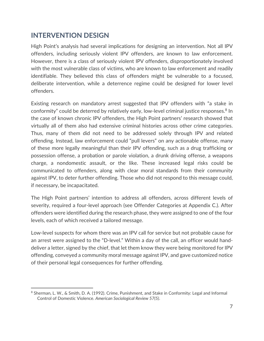#### **INTERVENTION DESIGN**

High Point's analysis had several implications for designing an intervention. Not all IPV offenders, including seriously violent IPV offenders, are known to law enforcement. However, there is a class of seriously violent IPV offenders, disproportionately involved with the most vulnerable class of victims, who are known to law enforcement and readily identifiable. They believed this class of offenders might be vulnerable to a focused, deliberate intervention, while a deterrence regime could be designed for lower level offenders.

Existing research on mandatory arrest suggested that IPV offenders with "a stake in conformity" could be deterred by relatively early, low-level criminal justice responses.<sup>8</sup> In the case of known chronic IPV offenders, the High Point partners' research showed that virtually all of them also had extensive criminal histories across other crime categories. Thus, many of them did not need to be addressed solely through IPV and related offending. Instead, law enforcement could "pull levers" on any actionable offense, many of these more legally meaningful than their IPV offending, such as a drug trafficking or possession offense, a probation or parole violation, a drunk driving offense, a weapons charge, a nondomestic assault, or the like. These increased legal risks could be communicated to offenders, along with clear moral standards from their community against IPV, to deter further offending. Those who did not respond to this message could, if necessary, be incapacitated.

The High Point partners' intention to address all offenders, across different levels of severity, required a four-level approach (see Offender Categories at Appendix C.). After offenders were identified during the research phase, they were assigned to one of the four levels, each of which received a tailored message.

Low-level suspects for whom there was an IPV call for service but not probable cause for an arrest were assigned to the "D-level." Within a day of the call, an officer would handdeliver a letter, signed by the chief, that let them know they were being monitored for IPV offending, conveyed a community moral message against IPV, and gave customized notice of their personal legal consequences for further offending.

<sup>8</sup> Sherman, L. W., & Smith, D. A. (1992). Crime, Punishment, and Stake in Conformity: Legal and Informal Control of Domestic Violence. *American Sociological Review 57(5)*.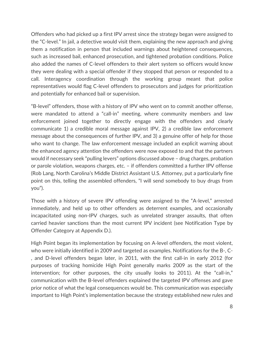Offenders who had picked up a first IPV arrest since the strategy began were assigned to the "C‐level." In jail, a detective would visit them, explaining the new approach and giving them a notification in person that included warnings about heightened consequences, such as increased bail, enhanced prosecution, and tightened probation conditions. Police also added the names of C‐level offenders to their alert system so officers would know they were dealing with a special offender if they stopped that person or responded to a call. Interagency coordination through the working group meant that police representatives would flag C‐level offenders to prosecutors and judges for prioritization and potentially for enhanced bail or supervision.

"B‐level" offenders, those with a history of IPV who went on to commit another offense, were mandated to attend a "call-in" meeting, where community members and law enforcement joined together to directly engage with the offenders and clearly communicate 1) a credible moral message against IPV, 2) a credible law enforcement message about the consequences of further IPV, and 3) a genuine offer of help for those who want to change. The law enforcement message included an explicit warning about the enhanced agency attention the offenders were now exposed to and that the partners would if necessary seek "pulling levers" options discussed above – drug charges, probation or parole violation, weapons charges, etc. – if offenders committed a further IPV offense (Rob Lang, North Carolina's Middle District Assistant U.S. Attorney, put a particularly fine point on this, telling the assembled offenders, "I will send somebody to buy drugs from you").

Those with a history of severe IPV offending were assigned to the "A‐level," arrested immediately, and held up to other offenders as deterrent examples, and occasionally incapacitated using non‐IPV charges, such as unrelated stranger assaults, that often carried heavier sanctions than the most current IPV incident (see Notification Type by Offender Category at Appendix D.).

High Point began its implementation by focusing on A‐level offenders, the most violent, who were initially identified in 2009 and targeted as examples. Notifications for the B‐, C‐ , and D‐level offenders began later, in 2011, with the first call‐in in early 2012 (for purposes of tracking homicide High Point generally marks 2009 as the start of the intervention; for other purposes, the city usually looks to 2011). At the "call-in," communication with the B‐level offenders explained the targeted IPV offenses and gave prior notice of what the legal consequences would be. This communication was especially important to High Point's implementation because the strategy established new rules and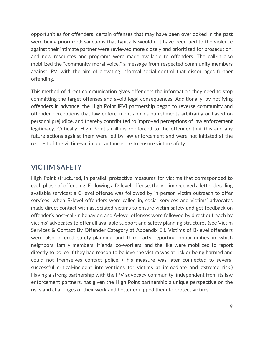opportunities for offenders: certain offenses that may have been overlooked in the past were being prioritized; sanctions that typically would not have been tied to the violence against their intimate partner were reviewed more closely and prioritized for prosecution; and new resources and programs were made available to offenders. The call-in also mobilized the "community moral voice," a message from respected community members against IPV, with the aim of elevating informal social control that discourages further offending.

This method of direct communication gives offenders the information they need to stop committing the target offenses and avoid legal consequences. Additionally, by notifying offenders in advance, the High Point IPVI partnership began to reverse community and offender perceptions that law enforcement applies punishments arbitrarily or based on personal prejudice, and thereby contributed to improved perceptions of law enforcement legitimacy. Critically, High Point's call-ins reinforced to the offender that this and any future actions against them were led by law enforcement and were not initiated at the request of the victim—an important measure to ensure victim safety.

#### **VICTIM SAFETY**

High Point structured, in parallel, protective measures for victims that corresponded to each phase of offending. Following a D‐level offense, the victim received a letter detailing available services; a C‐level offense was followed by in‐person victim outreach to offer services; when B‐level offenders were called in, social services and victims' advocates made direct contact with associated victims to ensure victim safety and get feedback on offender's post‐call‐in behavior; and A‐level offenses were followed by direct outreach by victims' advocates to offer all available support and safety planning structures (see Victim Services & Contact By Offender Category at Appendix E.). Victims of B‐level offenders were also offered safety-planning and third-party reporting opportunities in which neighbors, family members, friends, co-workers, and the like were mobilized to report directly to police if they had reason to believe the victim was at risk or being harmed and could not themselves contact police. (This measure was later connected to several successful critical-incident interventions for victims at immediate and extreme risk.) Having a strong partnership with the IPV advocacy community, independent from its law enforcement partners, has given the High Point partnership a unique perspective on the risks and challenges of their work and better equipped them to protect victims.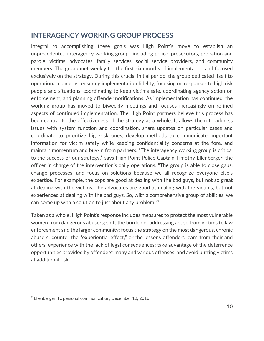#### **INTERAGENCY WORKING GROUP PROCESS**

Integral to accomplishing these goals was High Point's move to establish an unprecedented interagency working group—including police, prosecutors, probation and parole, victims' advocates, family services, social service providers, and community members. The group met weekly for the first six months of implementation and focused exclusively on the strategy. During this crucial initial period, the group dedicated itself to operational concerns: ensuring implementation fidelity, focusing on responses to high risk people and situations, coordinating to keep victims safe, coordinating agency action on enforcement, and planning offender notifications. As implementation has continued, the working group has moved to biweekly meetings and focuses increasingly on refined aspects of continued implementation. The High Point partners believe this process has been central to the effectiveness of the strategy as a whole. It allows them to address issues with system function and coordination, share updates on particular cases and coordinate to prioritize high‐risk ones, develop methods to communicate important information for victim safety while keeping confidentiality concerns at the fore, and maintain momentum and buy‐in from partners. "The interagency working group is critical to the success of our strategy," says High Point Police Captain Timothy Ellenberger, the officer in charge of the intervention's daily operations. "The group is able to close gaps, change processes, and focus on solutions because we all recognize everyone else's expertise. For example, the cops are good at dealing with the bad guys, but not so great at dealing with the victims. The advocates are good at dealing with the victims, but not experienced at dealing with the bad guys. So, with a comprehensive group of abilities, we can come up with a solution to just about any problem."9

Taken as a whole, High Point's response includes measures to protect the most vulnerable women from dangerous abusers; shift the burden of addressing abuse from victims to law enforcement and the larger community; focus the strategy on the most dangerous, chronic abusers; counter the "experiential effect," or the lessons offenders learn from their and others' experience with the lack of legal consequences; take advantage of the deterrence opportunities provided by offenders' many and various offenses; and avoid putting victims at additional risk.

<sup>9</sup> Ellenberger, T., personal communication, December 12, 2016.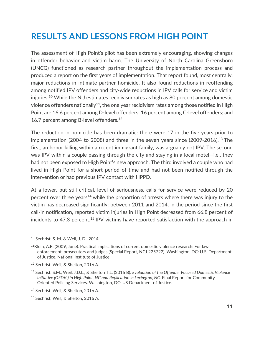## **RESULTS AND LESSONS FROM HIGH POINT**

The assessment of High Point's pilot has been extremely encouraging, showing changes in offender behavior and victim harm. The University of North Carolina Greensboro (UNCG) functioned as research partner throughout the implementation process and produced a report on the first years of implementation. That report found, most centrally, major reductions in intimate partner homicide. It also found reductions in reoffending among notified IPV offenders and city‐wide reductions in IPV calls for service and victim injuries.10 While the NIJ estimates recidivism rates as high as 80 percent among domestic violence offenders nationally<sup>11</sup>, the one year recidivism rates among those notified in High Point are 16.6 percent among D‐level offenders; 16 percent among C‐level offenders; and 16.7 percent among B-level offenders.<sup>12</sup>

The reduction in homicide has been dramatic: there were 17 in the five years prior to implementation (2004 to 2008) and three in the seven years since (2009-2016).<sup>13</sup> The first, an honor killing within a recent immigrant family, was arguably not IPV. The second was IPV within a couple passing through the city and staying in a local motel—i.e., they had not been exposed to High Point's new approach. The third involved a couple who had lived in High Point for a short period of time and had not been notified through the intervention or had previous IPV contact with HPPD.

At a lower, but still critical, level of seriousness, calls for service were reduced by 20 percent over three years<sup>14</sup> while the proportion of arrests where there was injury to the victim has decreased significantly: between 2011 and 2014, in the period since the first call‐in notification, reported victim injuries in High Point decreased from 66.8 percent of incidents to 47.3 percent.<sup>15</sup> IPV victims have reported satisfaction with the approach in

 <sup>10</sup> Sechrist, S. M. & Weil, J. D., 2014.

<sup>&</sup>lt;sup>11</sup>Klein, A.R. (2009, June). Practical implications of current domestic violence research: For law enforcement, prosecutors and judges (Special Report, NCJ 225722). Washington, DC: U.S. Department of Justice, National Institute of Justice.

<sup>12</sup> Sechrist, Weil, & Shelton, 2016 A.

<sup>13</sup> Sechrist, S.M., Weil, J.D.L., & Shelton T.L. (2016 B). *Evaluation of the Offender Focused Domestic Violence Initiative (OFDVI) in High Point, NC and Replication in Lexington, NC.* Final Report for Community Oriented Policing Services. Washington, DC: US Department of Justice.

<sup>14</sup> Sechrist, Weil, & Shelton, 2016 A.

<sup>15</sup> Sechrist, Weil, & Shelton, 2016 A.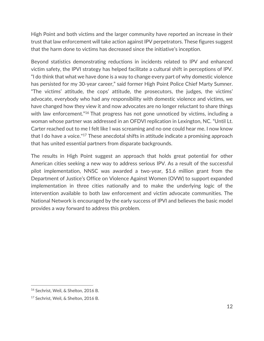High Point and both victims and the larger community have reported an increase in their trust that law enforcement will take action against IPV perpetrators. These figures suggest that the harm done to victims has decreased since the initiative's inception.

Beyond statistics demonstrating reductions in incidents related to IPV and enhanced victim safety, the IPVI strategy has helped facilitate a cultural shift in perceptions of IPV. "I do think that what we have done is a way to change every part of why domestic violence has persisted for my 30-year career," said former High Point Police Chief Marty Sumner. "The victims' attitude, the cops' attitude, the prosecutors, the judges, the victims' advocate, everybody who had any responsibility with domestic violence and victims, we have changed how they view it and now advocates are no longer reluctant to share things with law enforcement."<sup>16</sup> That progress has not gone unnoticed by victims, including a woman whose partner was addressed in an OFDVI replication in Lexington, NC. "Until Lt. Carter reached out to me I felt like I was screaming and no one could hear me. I now know that I do have a voice."17 These anecdotal shifts in attitude indicate a promising approach that has united essential partners from disparate backgrounds.

The results in High Point suggest an approach that holds great potential for other American cities seeking a new way to address serious IPV. As a result of the successful pilot implementation, NNSC was awarded a two‐year, \$1.6 million grant from the Department of Justice's Office on Violence Against Women (OVW) to support expanded implementation in three cities nationally and to make the underlying logic of the intervention available to both law enforcement and victim advocate communities. The National Network is encouraged by the early success of IPVI and believes the basic model provides a way forward to address this problem.

 <sup>16</sup> Sechrist, Weil, & Shelton, 2016 B.

<sup>17</sup> Sechrist, Weil, & Shelton, 2016 B.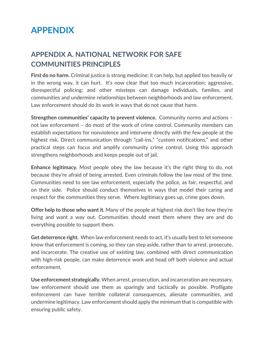## **APPENDIX**

### **APPENDIX A. NATIONAL NETWORK FOR SAFE COMMUNITIES PRINCIPLES**

**First do no harm.** Criminal justice is strong medicine: it can help, but applied too heavily or in the wrong way, it can hurt. It's now clear that too much incarceration; aggressive, disrespectful policing; and other missteps can damage individuals, families, and communities and undermine relationships between neighborhoods and law enforcement. Law enforcement should do its work in ways that do not cause that harm.

**Strengthen communities' capacity to prevent violence.** Community norms and actions – not law enforcement – do most of the work of crime control. Community members can establish expectations for nonviolence and intervene directly with the few people at the highest risk. Direct communication through "call-ins," "custom notifications," and other practical steps can focus and amplify community crime control. Using this approach strengthens neighborhoods and keeps people out of jail.

**Enhance legitimacy.** Most people obey the law because it's the right thing to do, not because they're afraid of being arrested. Even criminals follow the law most of the time. Communities need to see law enforcement, especially the police, as fair, respectful, and on their side. Police should conduct themselves in ways that model their caring and respect for the communities they serve. Where legitimacy goes up, crime goes down.

**Offer help to those who want it.** Many of the people at highest risk don't like how they're living and want a way out. Communities should meet them where they are and do everything possible to support them.

**Get deterrence right.** When law enforcement needs to act, it's usually best to let someone know that enforcement is coming, so they can step aside, rather than to arrest, prosecute, and incarcerate. The creative use of existing law, combined with direct communication with high-risk people, can make deterrence work and head off both violence and actual enforcement.

**Use enforcement strategically.** When arrest, prosecution, and incarceration are necessary, law enforcement should use them as sparingly and tactically as possible. Profligate enforcement can have terrible collateral consequences, alienate communities, and undermine legitimacy. Law enforcement should apply the minimum that is compatible with ensuring public safety.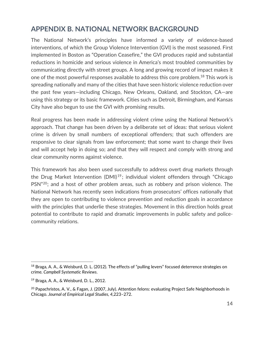#### **APPENDIX B. NATIONAL NETWORK BACKGROUND**

The National Network's principles have informed a variety of evidence‐based interventions, of which the Group Violence Intervention (GVI) is the most seasoned. First implemented in Boston as "Operation Ceasefire," the GVI produces rapid and substantial reductions in homicide and serious violence in America's most troubled communities by communicating directly with street groups. A long and growing record of impact makes it one of the most powerful responses available to address this core problem.<sup>18</sup> This work is spreading nationally and many of the cities that have seen historic violence reduction over the past few years—including Chicago, New Orleans, Oakland, and Stockton, CA—are using this strategy or its basic framework. Cities such as Detroit, Birmingham, and Kansas City have also begun to use the GVI with promising results.

Real progress has been made in addressing violent crime using the National Network's approach. That change has been driven by a deliberate set of ideas: that serious violent crime is driven by small numbers of exceptional offenders; that such offenders are responsive to clear signals from law enforcement; that some want to change their lives and will accept help in doing so; and that they will respect and comply with strong and clear community norms against violence.

This framework has also been used successfully to address overt drug markets through the Drug Market Intervention (DMI)<sup>19</sup>; individual violent offenders through "Chicago PSN"<sup>20</sup>; and a host of other problem areas, such as robbery and prison violence. The National Network has recently seen indications from prosecutors' offices nationally that they are open to contributing to violence prevention and reduction goals in accordance with the principles that underlie these strategies. Movement in this direction holds great potential to contribute to rapid and dramatic improvements in public safety and police‐ community relations.

<sup>18</sup> Braga, A. A., & Weisburd, D. L. (2012). The effects of "pulling levers" focused deterrence strategies on crime*. Campbell Systematic Reviews*.

<sup>19</sup> Braga, A. A., & Weisburd, D. L., 2012.

<sup>&</sup>lt;sup>20</sup> Papachristos, A. V., & Fagan, J. (2007, July). Attention felons: evaluating Project Safe Neighborhoods in Chicago. *Journal of Empirical Legal Studies, 4,*223–272.